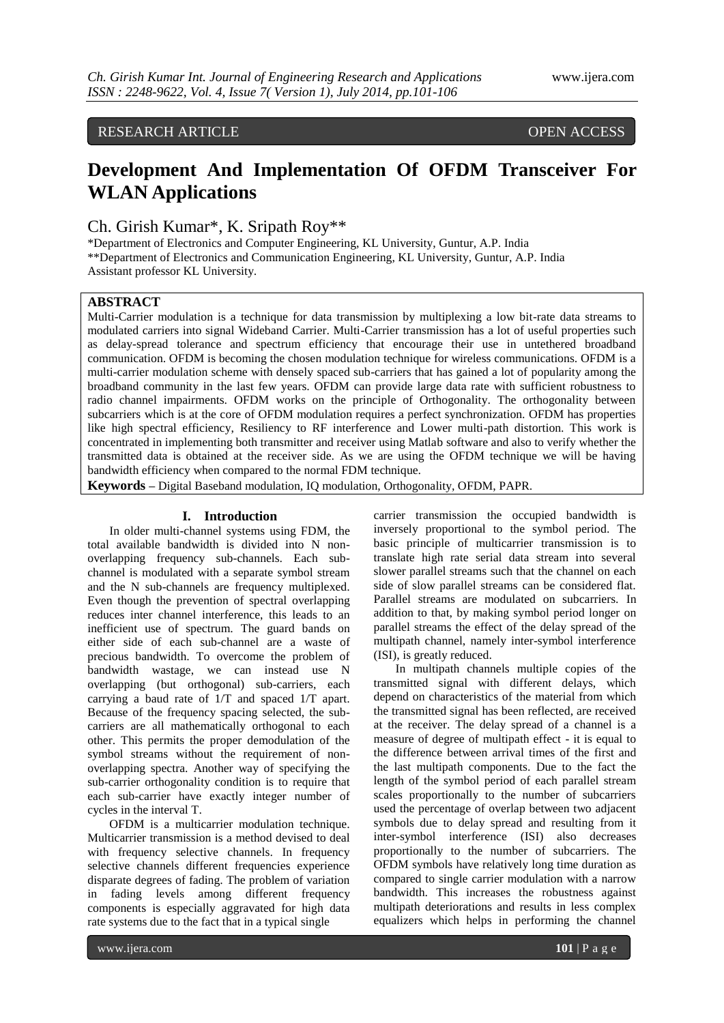# RESEARCH ARTICLE OPEN ACCESS

# **Development And Implementation Of OFDM Transceiver For WLAN Applications**

# Ch. Girish Kumar\*, K. Sripath Roy\*\*

\*Department of Electronics and Computer Engineering, KL University, Guntur, A.P. India \*\*Department of Electronics and Communication Engineering, KL University, Guntur, A.P. India Assistant professor KL University.

# **ABSTRACT**

Multi-Carrier modulation is a technique for data transmission by multiplexing a low bit-rate data streams to modulated carriers into signal Wideband Carrier. Multi-Carrier transmission has a lot of useful properties such as delay-spread tolerance and spectrum efficiency that encourage their use in untethered broadband communication. OFDM is becoming the chosen modulation technique for wireless communications. OFDM is a multi-carrier modulation scheme with densely spaced sub-carriers that has gained a lot of popularity among the broadband community in the last few years. OFDM can provide large data rate with sufficient robustness to radio channel impairments. OFDM works on the principle of Orthogonality. The orthogonality between subcarriers which is at the core of OFDM modulation requires a perfect synchronization. OFDM has properties like high spectral efficiency, Resiliency to RF interference and Lower multi-path distortion. This work is concentrated in implementing both transmitter and receiver using Matlab software and also to verify whether the transmitted data is obtained at the receiver side. As we are using the OFDM technique we will be having bandwidth efficiency when compared to the normal FDM technique.

**Keywords –** Digital Baseband modulation, IQ modulation, Orthogonality, OFDM, PAPR.

#### **I. Introduction**

In older multi-channel systems using FDM, the total available bandwidth is divided into N nonoverlapping frequency sub-channels. Each subchannel is modulated with a separate symbol stream and the N sub-channels are frequency multiplexed. Even though the prevention of spectral overlapping reduces inter channel interference, this leads to an inefficient use of spectrum. The guard bands on either side of each sub-channel are a waste of precious bandwidth. To overcome the problem of bandwidth wastage, we can instead use N overlapping (but orthogonal) sub-carriers, each carrying a baud rate of 1/T and spaced 1/T apart. Because of the frequency spacing selected, the subcarriers are all mathematically orthogonal to each other. This permits the proper demodulation of the symbol streams without the requirement of nonoverlapping spectra. Another way of specifying the sub-carrier orthogonality condition is to require that each sub-carrier have exactly integer number of cycles in the interval T.

OFDM is a multicarrier modulation technique. Multicarrier transmission is a method devised to deal with frequency selective channels. In frequency selective channels different frequencies experience disparate degrees of fading. The problem of variation in fading levels among different frequency components is especially aggravated for high data rate systems due to the fact that in a typical single

carrier transmission the occupied bandwidth is inversely proportional to the symbol period. The basic principle of multicarrier transmission is to translate high rate serial data stream into several slower parallel streams such that the channel on each side of slow parallel streams can be considered flat. Parallel streams are modulated on subcarriers. In addition to that, by making symbol period longer on parallel streams the effect of the delay spread of the multipath channel, namely inter-symbol interference (ISI), is greatly reduced.

In multipath channels multiple copies of the transmitted signal with different delays, which depend on characteristics of the material from which the transmitted signal has been reflected, are received at the receiver. The delay spread of a channel is a measure of degree of multipath effect - it is equal to the difference between arrival times of the first and the last multipath components. Due to the fact the length of the symbol period of each parallel stream scales proportionally to the number of subcarriers used the percentage of overlap between two adjacent symbols due to delay spread and resulting from it inter-symbol interference (ISI) also decreases proportionally to the number of subcarriers. The OFDM symbols have relatively long time duration as compared to single carrier modulation with a narrow bandwidth. This increases the robustness against multipath deteriorations and results in less complex equalizers which helps in performing the channel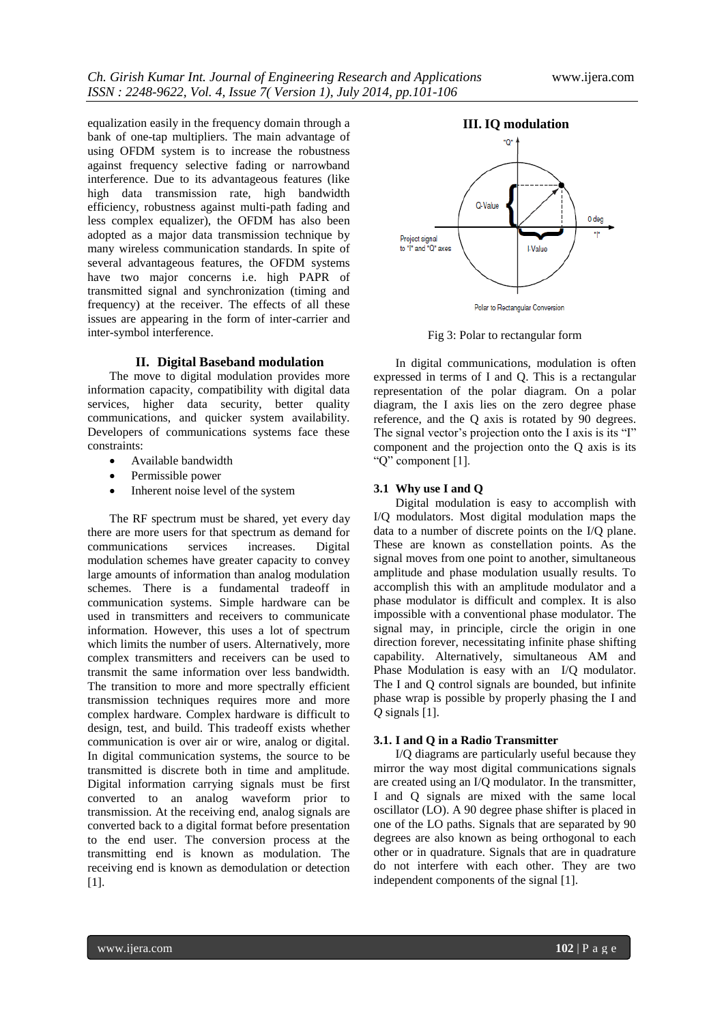equalization easily in the frequency domain through a bank of one-tap multipliers. The main advantage of using OFDM system is to increase the robustness against frequency selective fading or narrowband interference. Due to its advantageous features (like high data transmission rate, high bandwidth efficiency, robustness against multi-path fading and less complex equalizer), the OFDM has also been adopted as a major data transmission technique by many wireless communication standards. In spite of several advantageous features, the OFDM systems have two major concerns i.e. high PAPR of transmitted signal and synchronization (timing and frequency) at the receiver. The effects of all these issues are appearing in the form of inter-carrier and inter-symbol interference.

# **II. Digital Baseband modulation**

The move to digital modulation provides more information capacity, compatibility with digital data services, higher data security, better quality communications, and quicker system availability. Developers of communications systems face these constraints:

- Available bandwidth
- Permissible power
- Inherent noise level of the system

The RF spectrum must be shared, yet every day there are more users for that spectrum as demand for communications services increases. Digital modulation schemes have greater capacity to convey large amounts of information than analog modulation schemes. There is a fundamental tradeoff in communication systems. Simple hardware can be used in transmitters and receivers to communicate information. However, this uses a lot of spectrum which limits the number of users. Alternatively, more complex transmitters and receivers can be used to transmit the same information over less bandwidth. The transition to more and more spectrally efficient transmission techniques requires more and more complex hardware. Complex hardware is difficult to design, test, and build. This tradeoff exists whether communication is over air or wire, analog or digital. In digital communication systems, the source to be transmitted is discrete both in time and amplitude. Digital information carrying signals must be first converted to an analog waveform prior to transmission. At the receiving end, analog signals are converted back to a digital format before presentation to the end user. The conversion process at the transmitting end is known as modulation. The receiving end is known as demodulation or detection [1].



Fig 3: Polar to rectangular form

In digital communications, modulation is often expressed in terms of I and Q. This is a rectangular representation of the polar diagram. On a polar diagram, the I axis lies on the zero degree phase reference, and the Q axis is rotated by 90 degrees. The signal vector's projection onto the I axis is its "I" component and the projection onto the Q axis is its "Q" component [1].

#### **3.1 Why use I and Q**

Digital modulation is easy to accomplish with I/Q modulators. Most digital modulation maps the data to a number of discrete points on the I/Q plane. These are known as constellation points. As the signal moves from one point to another, simultaneous amplitude and phase modulation usually results. To accomplish this with an amplitude modulator and a phase modulator is difficult and complex. It is also impossible with a conventional phase modulator. The signal may, in principle, circle the origin in one direction forever, necessitating infinite phase shifting capability. Alternatively, simultaneous AM and Phase Modulation is easy with an I/Q modulator. The I and Q control signals are bounded, but infinite phase wrap is possible by properly phasing the I and *Q* signals [1].

# **3.1. I and Q in a Radio Transmitter**

I/Q diagrams are particularly useful because they mirror the way most digital communications signals are created using an I/Q modulator. In the transmitter, I and Q signals are mixed with the same local oscillator (LO). A 90 degree phase shifter is placed in one of the LO paths. Signals that are separated by 90 degrees are also known as being orthogonal to each other or in quadrature. Signals that are in quadrature do not interfere with each other. They are two independent components of the signal [1].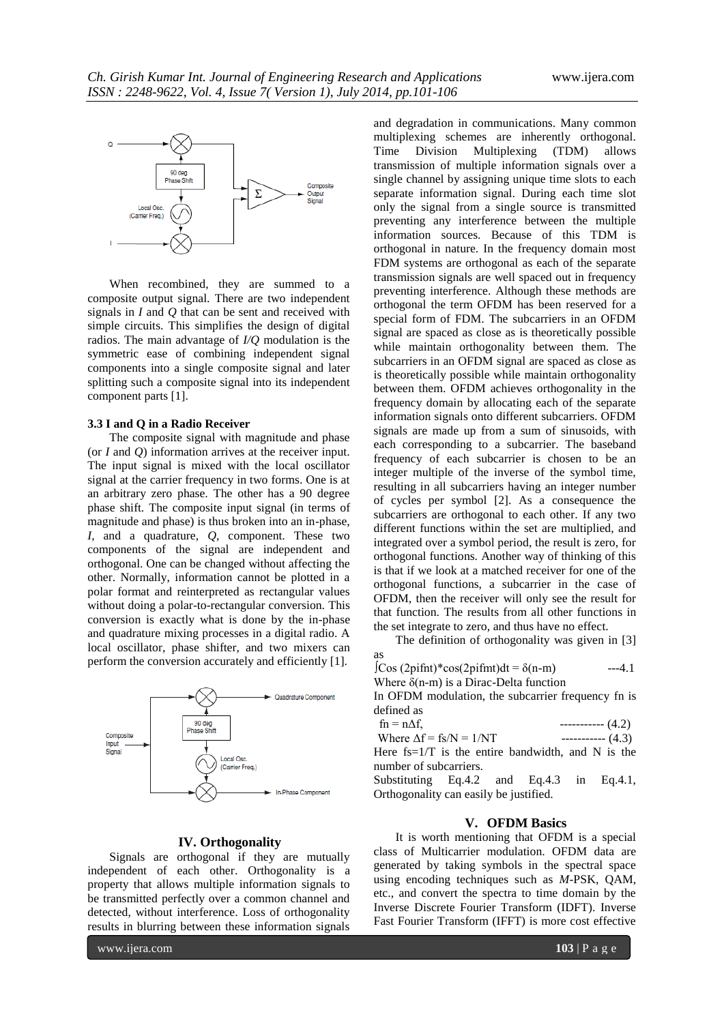

When recombined, they are summed to a composite output signal. There are two independent signals in *I* and *Q* that can be sent and received with simple circuits. This simplifies the design of digital radios. The main advantage of *I/Q* modulation is the symmetric ease of combining independent signal components into a single composite signal and later splitting such a composite signal into its independent component parts [1].

# **3.3 I and Q in a Radio Receiver**

The composite signal with magnitude and phase (or *I* and *Q*) information arrives at the receiver input. The input signal is mixed with the local oscillator signal at the carrier frequency in two forms. One is at an arbitrary zero phase. The other has a 90 degree phase shift. The composite input signal (in terms of magnitude and phase) is thus broken into an in-phase, *I*, and a quadrature, *Q*, component. These two components of the signal are independent and orthogonal. One can be changed without affecting the other. Normally, information cannot be plotted in a polar format and reinterpreted as rectangular values without doing a polar-to-rectangular conversion. This conversion is exactly what is done by the in-phase and quadrature mixing processes in a digital radio. A local oscillator, phase shifter, and two mixers can perform the conversion accurately and efficiently [1].



#### **IV. Orthogonality**

Signals are orthogonal if they are mutually independent of each other. Orthogonality is a property that allows multiple information signals to be transmitted perfectly over a common channel and detected, without interference. Loss of orthogonality results in blurring between these information signals

and degradation in communications. Many common multiplexing schemes are inherently orthogonal. Time Division Multiplexing (TDM) allows transmission of multiple information signals over a single channel by assigning unique time slots to each separate information signal. During each time slot only the signal from a single source is transmitted preventing any interference between the multiple information sources. Because of this TDM is orthogonal in nature. In the frequency domain most FDM systems are orthogonal as each of the separate transmission signals are well spaced out in frequency preventing interference. Although these methods are orthogonal the term OFDM has been reserved for a special form of FDM. The subcarriers in an OFDM signal are spaced as close as is theoretically possible while maintain orthogonality between them. The subcarriers in an OFDM signal are spaced as close as is theoretically possible while maintain orthogonality between them. OFDM achieves orthogonality in the frequency domain by allocating each of the separate information signals onto different subcarriers. OFDM signals are made up from a sum of sinusoids, with each corresponding to a subcarrier. The baseband frequency of each subcarrier is chosen to be an integer multiple of the inverse of the symbol time, resulting in all subcarriers having an integer number of cycles per symbol [2]. As a consequence the subcarriers are orthogonal to each other. If any two different functions within the set are multiplied, and integrated over a symbol period, the result is zero, for orthogonal functions. Another way of thinking of this is that if we look at a matched receiver for one of the orthogonal functions, a subcarrier in the case of OFDM, then the receiver will only see the result for that function. The results from all other functions in

the set integrate to zero, and thus have no effect. The definition of orthogonality was given in [3] as

 $[\text{Cos}(2\text{pifit})^* \text{cos}(2\text{pifit})]$ dt =  $\delta$ (n-m) ---4.1

Where  $\delta$ (n-m) is a Dirac-Delta function

In OFDM modulation, the subcarrier frequency fn is defined as

| $fn = n\Delta f$ ,                                  | $------(4.2)$ |
|-----------------------------------------------------|---------------|
| Where $\Delta f = f_s/N = 1/NT$                     | $------(4.3)$ |
| Here $fs=1/T$ is the entire bandwidth, and N is the |               |
| number of subcarriers.                              |               |

Substituting Eq.4.2 and Eq.4.3 in Eq.4.1, Orthogonality can easily be justified.

# **V. OFDM Basics**

It is worth mentioning that OFDM is a special class of Multicarrier modulation. OFDM data are generated by taking symbols in the spectral space using encoding techniques such as *M*-PSK, QAM, etc., and convert the spectra to time domain by the Inverse Discrete Fourier Transform (IDFT). Inverse Fast Fourier Transform (IFFT) is more cost effective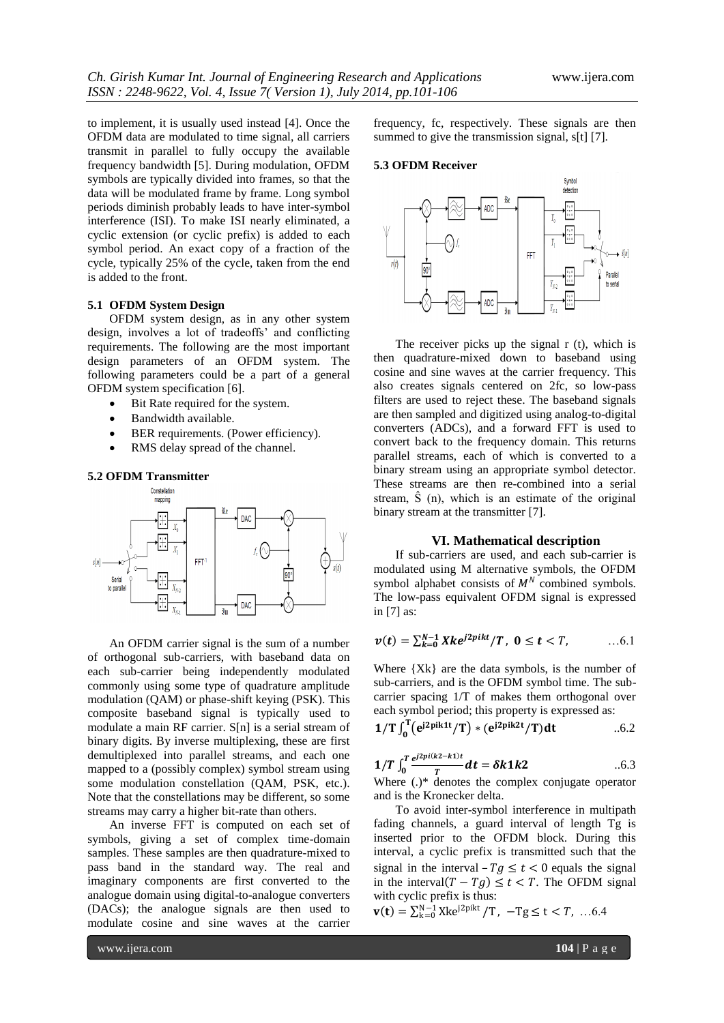to implement, it is usually used instead [4]. Once the OFDM data are modulated to time signal, all carriers transmit in parallel to fully occupy the available frequency bandwidth [5]. During modulation, OFDM symbols are typically divided into frames, so that the data will be modulated frame by frame. Long symbol periods diminish probably leads to have inter-symbol interference (ISI). To make ISI nearly eliminated, a cyclic extension (or cyclic prefix) is added to each symbol period. An exact copy of a fraction of the cycle, typically 25% of the cycle, taken from the end is added to the front.

## **5.1 OFDM System Design**

OFDM system design, as in any other system design, involves a lot of tradeoffs' and conflicting requirements. The following are the most important design parameters of an OFDM system. The following parameters could be a part of a general OFDM system specification [6].

- Bit Rate required for the system.
- Bandwidth available.
- BER requirements. (Power efficiency).
- RMS delay spread of the channel.

#### **5.2 OFDM Transmitter**



An OFDM carrier signal is the sum of a number of orthogonal sub-carriers, with baseband data on each sub-carrier being independently modulated commonly using some type of quadrature amplitude modulation (QAM) or phase-shift keying (PSK). This composite baseband signal is typically used to modulate a main RF carrier. S[n] is a serial stream of binary digits. By inverse multiplexing, these are first demultiplexed into parallel streams, and each one mapped to a (possibly complex) symbol stream using some modulation constellation (QAM, PSK, etc.). Note that the constellations may be different, so some streams may carry a higher bit-rate than others.

An inverse FFT is computed on each set of symbols, giving a set of complex time-domain samples. These samples are then quadrature-mixed to pass band in the standard way. The real and imaginary components are first converted to the analogue domain using digital-to-analogue converters (DACs); the analogue signals are then used to modulate cosine and sine waves at the carrier

frequency, fc, respectively. These signals are then summed to give the transmission signal, s[t] [7].

#### **5.3 OFDM Receiver**



The receiver picks up the signal r (t), which is then quadrature-mixed down to baseband using cosine and sine waves at the carrier frequency. This also creates signals centered on 2fc, so low-pass filters are used to reject these. The baseband signals are then sampled and digitized using analog-to-digital converters (ADCs), and a forward FFT is used to convert back to the frequency domain. This returns parallel streams, each of which is converted to a binary stream using an appropriate symbol detector. These streams are then re-combined into a serial stream,  $\hat{S}$  (n), which is an estimate of the original binary stream at the transmitter [7].

# **VI. Mathematical description**

If sub-carriers are used, and each sub-carrier is modulated using M alternative symbols, the OFDM symbol alphabet consists of  $M^N$  combined symbols. The low-pass equivalent OFDM signal is expressed in [7] as:

$$
v(t) = \sum_{k=0}^{N-1} Xke^{j2pikt}/T, \ 0 \le t < T, \qquad \dots 6.1
$$

Where {Xk} are the data symbols, is the number of sub-carriers, and is the OFDM symbol time. The subcarrier spacing 1/T of makes them orthogonal over each symbol period; this property is expressed as:

$$
1/T \int_0^T \left(e^{j2pikt}/T\right) * (e^{j2pik2t}/T) dt \qquad \qquad ...(3)
$$

$$
1/T \int_0^T \frac{e^{j2pi(k^2 - k1)t}}{T} dt = \delta k 1 k 2
$$
 0.6.3

Where (.)\* denotes the complex conjugate operator and is the Kronecker delta.

To avoid inter-symbol interference in multipath fading channels, a guard interval of length Tg is inserted prior to the OFDM block. During this interval, a cyclic prefix is transmitted such that the signal in the interval  $-Tg \le t < 0$  equals the signal in the interval  $(T - Tg) \le t < T$ . The OFDM signal with cyclic prefix is thus:

$$
\mathbf{v}(\mathbf{t}) = \sum_{k=0}^{N-1} X k e^{j2pikt} / T, \ -Tg \le t < T, \ \ldots 6.4
$$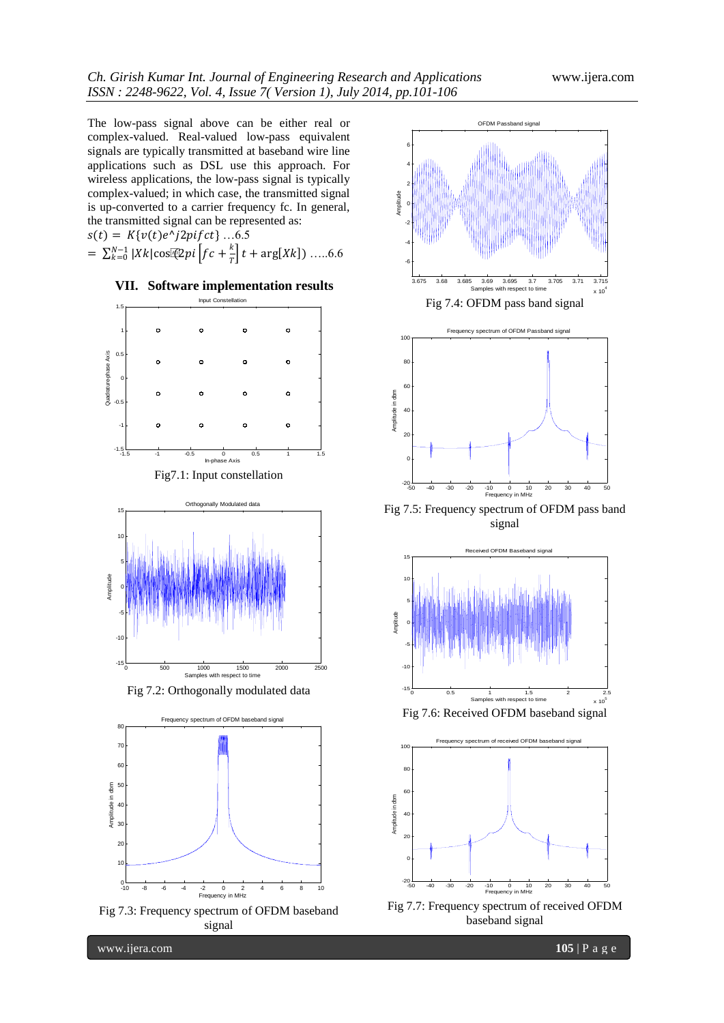The low-pass signal above can be either real or complex-valued. Real-valued low-pass equivalent signals are typically transmitted at baseband wire line applications such as DSL use this approach. For wireless applications, the low-pass signal is typically complex-valued; in which case, the transmitted signal is up-converted to a carrier frequency fc. In general, the transmitted signal can be represented as:  $s(t) = K{v(t)e^{\wedge}j2pi fct} ... 6.5$  $= \sum_{k=0}^{N-1} |Xk| \cos k2pi \int f c + \frac{k}{\pi}$  $_{k=0}^{N-1} |Xk| \cos k[2pi \left[ f c + \frac{k}{T} \right] t + \arg[Xk]) \dots 6.6$ 





signal





www.ijera.com **105** | P a g e